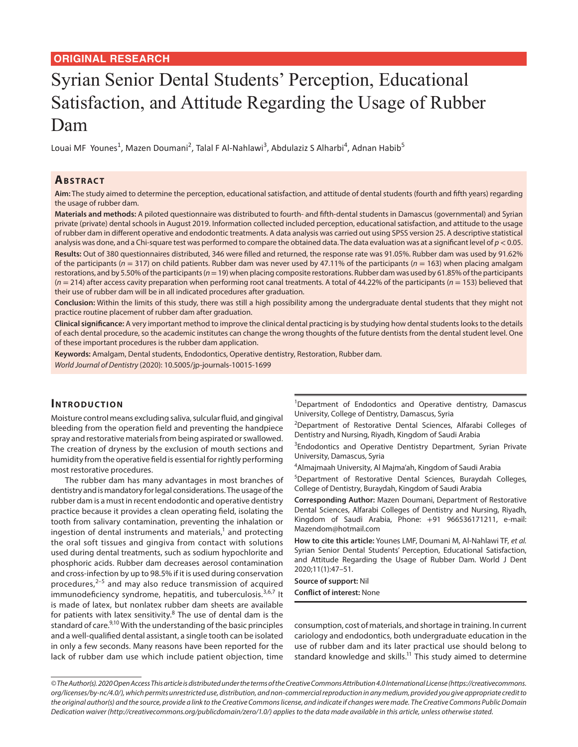## **ORIGINAL RESEARCH**

# Syrian Senior Dental Students' Perception, Educational Satisfaction, and Attitude Regarding the Usage of Rubber Dam

Louai MF Younes<sup>1</sup>, Mazen Doumani<sup>2</sup>, Talal F Al-Nahlawi<sup>3</sup>, Abdulaziz S Alharbi<sup>4</sup>, Adnan Habib<sup>5</sup>

#### **ABSTRACT**

**Aim:** The study aimed to determine the perception, educational satisfaction, and attitude of dental students (fourth and fifth years) regarding the usage of rubber dam.

**Materials and methods:** A piloted questionnaire was distributed to fourth- and fifth-dental students in Damascus (governmental) and Syrian private (private) dental schools in August 2019. Information collected included perception, educational satisfaction, and attitude to the usage of rubber dam in different operative and endodontic treatments. A data analysis was carried out using SPSS version 25. A descriptive statistical analysis was done, and a Chi-square test was performed to compare the obtained data. The data evaluation was at a significant level of *p*< 0.05.

**Results:** Out of 380 questionnaires distributed, 346 were filled and returned, the response rate was 91.05%. Rubber dam was used by 91.62% of the participants (*n* = 317) on child patients. Rubber dam was never used by 47.11% of the participants (*n* = 163) when placing amalgam restorations, and by 5.50% of the participants ( $n=19$ ) when placing composite restorations. Rubber dam was used by 61.85% of the participants (*n* = 214) after access cavity preparation when performing root canal treatments. A total of 44.22% of the participants (*n* = 153) believed that their use of rubber dam will be in all indicated procedures after graduation.

**Conclusion:** Within the limits of this study, there was still a high possibility among the undergraduate dental students that they might not practice routine placement of rubber dam after graduation.

**Clinical significance:** A very important method to improve the clinical dental practicing is by studying how dental students looks to the details of each dental procedure, so the academic institutes can change the wrong thoughts of the future dentists from the dental student level. One of these important procedures is the rubber dam application.

**Keywords:** Amalgam, Dental students, Endodontics, Operative dentistry, Restoration, Rubber dam. *World Journal of Dentistry* (2020): 10.5005/jp-journals-10015-1699

## **INTRODUCTION**

Moisture control means excluding saliva, sulcular fluid, and gingival bleeding from the operation field and preventing the handpiece spray and restorative materials from being aspirated or swallowed. The creation of dryness by the exclusion of mouth sections and humidity from the operative field is essential for rightly performing most restorative procedures.

The rubber dam has many advantages in most branches of dentistry and is mandatory for legal considerations. The usage of the rubber dam is a must in recent endodontic and operative dentistry practice because it provides a clean operating field, isolating the tooth from salivary contamination, preventing the inhalation or ingestion of dental instruments and materials, $1$  and protecting the oral soft tissues and gingiva from contact with solutions used during dental treatments, such as sodium hypochlorite and phosphoric acids. Rubber dam decreases aerosol contamination and cross-infection by up to 98.5% if it is used during conservation procedures, $2-5$  and may also reduce transmission of acquired immunodeficiency syndrome, hepatitis, and tuberculosis.<sup>3,6,7</sup> It is made of latex, but nonlatex rubber dam sheets are available for patients with latex sensitivity.<sup>8</sup> The use of dental dam is the standard of care.<sup>9,10</sup> With the understanding of the basic principles and a well-qualified dental assistant, a single tooth can be isolated in only a few seconds. Many reasons have been reported for the lack of rubber dam use which include patient objection, time

<sup>1</sup>Department of Endodontics and Operative dentistry, Damascus University, College of Dentistry, Damascus, Syria

<sup>2</sup>Department of Restorative Dental Sciences, Alfarabi Colleges of Dentistry and Nursing, Riyadh, Kingdom of Saudi Arabia

<sup>3</sup>Endodontics and Operative Dentistry Department, Syrian Private University, Damascus, Syria

4 Almajmaah University, Al Majma'ah, Kingdom of Saudi Arabia

5 Department of Restorative Dental Sciences, Buraydah Colleges, College of Dentistry, Buraydah, Kingdom of Saudi Arabia

**Corresponding Author:** Mazen Doumani, Department of Restorative Dental Sciences, Alfarabi Colleges of Dentistry and Nursing, Riyadh, Kingdom of Saudi Arabia, Phone: +91 966536171211, e-mail: Mazendom@hotmail.com

**How to cite this article:** Younes LMF, Doumani M, Al-Nahlawi TF, *et al.* Syrian Senior Dental Students' Perception, Educational Satisfaction, and Attitude Regarding the Usage of Rubber Dam. World J Dent 2020;11(1):47–51.

**Source of support:** Nil **Conflict of interest:** None

consumption, cost of materials, and shortage in training. In current cariology and endodontics, both undergraduate education in the use of rubber dam and its later practical use should belong to standard knowledge and skills.<sup>11</sup> This study aimed to determine

*<sup>©</sup> The Author(s). 2020 Open Access This article is distributed under the terms of the Creative Commons Attribution 4.0 International License (https://creativecommons. org/licenses/by-nc/4.0/), which permits unrestricted use, distribution, and non-commercial reproduction in any medium, provided you give appropriate credit to the original author(s) and the source, provide a link to the Creative Commons license, and indicate if changes were made. The Creative Commons Public Domain Dedication waiver (http://creativecommons.org/publicdomain/zero/1.0/) applies to the data made available in this article, unless otherwise stated.*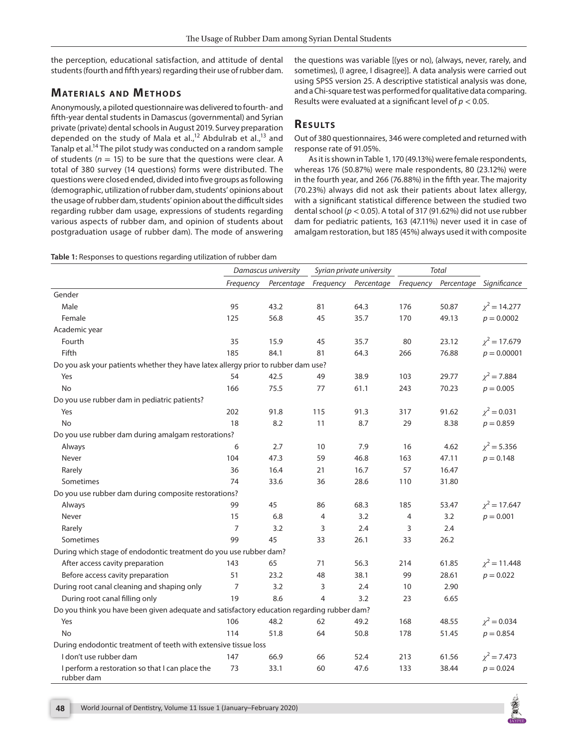the perception, educational satisfaction, and attitude of dental students (fourth and fifth years) regarding their use of rubber dam.

# **MATERIALS AND METHODS**

Anonymously, a piloted questionnaire was delivered to fourth- and fifth-year dental students in Damascus (governmental) and Syrian private (private) dental schools in August 2019. Survey preparation depended on the study of Mala et al.,<sup>12</sup> Abdulrab et al.,<sup>13</sup> and Tanalp et al.<sup>14</sup> The pilot study was conducted on a random sample of students ( $n = 15$ ) to be sure that the questions were clear. A total of 380 survey (14 questions) forms were distributed. The questions were closed ended, divided into five groups as following (demographic, utilization of rubber dam, students' opinions about the usage of rubber dam, students' opinion about the difficult sides regarding rubber dam usage, expressions of students regarding various aspects of rubber dam, and opinion of students about postgraduation usage of rubber dam). The mode of answering

the questions was variable [(yes or no), (always, never, rarely, and sometimes), (I agree, I disagree)]. A data analysis were carried out using SPSS version 25. A descriptive statistical analysis was done, and a Chi-square test was performed for qualitative data comparing. Results were evaluated at a significant level of *p* < 0.05.

## **RESULTS**

Out of 380 questionnaires, 346 were completed and returned with response rate of 91.05%.

As it is shown in Table 1, 170 (49.13%) were female respondents, whereas 176 (50.87%) were male respondents, 80 (23.12%) were in the fourth year, and 266 (76.88%) in the fifth year. The majority (70.23%) always did not ask their patients about latex allergy, with a significant statistical difference between the studied two dental school (*p* < 0.05). A total of 317 (91.62%) did not use rubber dam for pediatric patients, 163 (47.11%) never used it in case of amalgam restoration, but 185 (45%) always used it with composite

|  |  | Table 1: Responses to questions regarding utilization of rubber dam |
|--|--|---------------------------------------------------------------------|
|--|--|---------------------------------------------------------------------|

|                                                                                            | Damascus university |            | Syrian private university |            | <b>Total</b>   |       |                         |
|--------------------------------------------------------------------------------------------|---------------------|------------|---------------------------|------------|----------------|-------|-------------------------|
|                                                                                            | Frequency           | Percentage | Frequency                 | Percentage | Frequency      |       | Percentage Significance |
| Gender                                                                                     |                     |            |                           |            |                |       |                         |
| Male                                                                                       | 95                  | 43.2       | 81                        | 64.3       | 176            | 50.87 | $\chi^2$ = 14.277       |
| Female                                                                                     | 125                 | 56.8       | 45                        | 35.7       | 170            | 49.13 | $p = 0.0002$            |
| Academic year                                                                              |                     |            |                           |            |                |       |                         |
| Fourth                                                                                     | 35                  | 15.9       | 45                        | 35.7       | 80             | 23.12 | $\chi^2$ = 17.679       |
| Fifth                                                                                      | 185                 | 84.1       | 81                        | 64.3       | 266            | 76.88 | $p = 0.00001$           |
| Do you ask your patients whether they have latex allergy prior to rubber dam use?          |                     |            |                           |            |                |       |                         |
| Yes                                                                                        | 54                  | 42.5       | 49                        | 38.9       | 103            | 29.77 | $\chi^2$ = 7.884        |
| <b>No</b>                                                                                  | 166                 | 75.5       | 77                        | 61.1       | 243            | 70.23 | $p = 0.005$             |
| Do you use rubber dam in pediatric patients?                                               |                     |            |                           |            |                |       |                         |
| Yes                                                                                        | 202                 | 91.8       | 115                       | 91.3       | 317            | 91.62 | $\chi^2$ = 0.031        |
| <b>No</b>                                                                                  | 18                  | 8.2        | 11                        | 8.7        | 29             | 8.38  | $p = 0.859$             |
| Do you use rubber dam during amalgam restorations?                                         |                     |            |                           |            |                |       |                         |
| Always                                                                                     | 6                   | 2.7        | 10                        | 7.9        | 16             | 4.62  | $\chi^2$ = 5.356        |
| Never                                                                                      | 104                 | 47.3       | 59                        | 46.8       | 163            | 47.11 | $p = 0.148$             |
| Rarely                                                                                     | 36                  | 16.4       | 21                        | 16.7       | 57             | 16.47 |                         |
| Sometimes                                                                                  | 74                  | 33.6       | 36                        | 28.6       | 110            | 31.80 |                         |
| Do you use rubber dam during composite restorations?                                       |                     |            |                           |            |                |       |                         |
| Always                                                                                     | 99                  | 45         | 86                        | 68.3       | 185            | 53.47 | $\chi^2$ = 17.647       |
| Never                                                                                      | 15                  | 6.8        | $\overline{4}$            | 3.2        | $\overline{4}$ | 3.2   | $p = 0.001$             |
| Rarely                                                                                     | $\overline{7}$      | 3.2        | 3                         | 2.4        | 3              | 2.4   |                         |
| Sometimes                                                                                  | 99                  | 45         | 33                        | 26.1       | 33             | 26.2  |                         |
| During which stage of endodontic treatment do you use rubber dam?                          |                     |            |                           |            |                |       |                         |
| After access cavity preparation                                                            | 143                 | 65         | 71                        | 56.3       | 214            | 61.85 | $\chi^2$ = 11.448       |
| Before access cavity preparation                                                           | 51                  | 23.2       | 48                        | 38.1       | 99             | 28.61 | $p = 0.022$             |
| During root canal cleaning and shaping only                                                | $\overline{7}$      | 3.2        | 3                         | 2.4        | 10             | 2.90  |                         |
| During root canal filling only                                                             | 19                  | 8.6        | $\overline{4}$            | 3.2        | 23             | 6.65  |                         |
| Do you think you have been given adequate and satisfactory education regarding rubber dam? |                     |            |                           |            |                |       |                         |
| Yes                                                                                        | 106                 | 48.2       | 62                        | 49.2       | 168            | 48.55 | $\chi^2 = 0.034$        |
| No                                                                                         | 114                 | 51.8       | 64                        | 50.8       | 178            | 51.45 | $p = 0.854$             |
| During endodontic treatment of teeth with extensive tissue loss                            |                     |            |                           |            |                |       |                         |
| I don't use rubber dam                                                                     | 147                 | 66.9       | 66                        | 52.4       | 213            | 61.56 | $\chi^2$ = 7.473        |
| I perform a restoration so that I can place the<br>rubber dam                              | 73                  | 33.1       | 60                        | 47.6       | 133            | 38.44 | $p = 0.024$             |

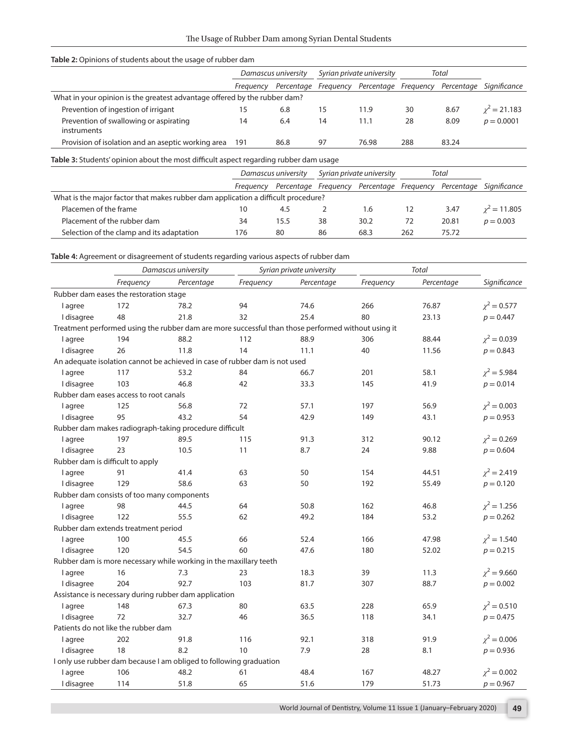#### **Table 2:** Opinions of students about the usage of rubber dam

|                                                                           | Damascus university |      | Syrian private university |                                           | Total |       |                         |
|---------------------------------------------------------------------------|---------------------|------|---------------------------|-------------------------------------------|-------|-------|-------------------------|
|                                                                           | Freauency           |      |                           | Percentage Freguency Percentage Freguency |       |       | Percentage Significance |
| What in your opinion is the greatest advantage offered by the rubber dam? |                     |      |                           |                                           |       |       |                         |
| Prevention of ingestion of irrigant                                       | 15                  | 6.8  |                           | 11.9                                      | 30    | 8.67  | $\gamma^2 = 21.183$     |
| Prevention of swallowing or aspirating<br><i>instruments</i>              | 14                  | 6.4  | 14                        | 11.1                                      | 28    | 8.09  | $p = 0.0001$            |
| Provision of isolation and an aseptic working area                        | 191                 | 86.8 | 97                        | 76.98                                     | 288   | 83.24 |                         |

**Table 3:** Students' opinion about the most difficult aspect regarding rubber dam usage

|                                                                                   |           | Damascus university |    | Syrian private university                 |     | Total |                         |
|-----------------------------------------------------------------------------------|-----------|---------------------|----|-------------------------------------------|-----|-------|-------------------------|
|                                                                                   | Freauency |                     |    | Percentage Frequency Percentage Frequency |     |       | Percentage Significance |
| What is the major factor that makes rubber dam application a difficult procedure? |           |                     |    |                                           |     |       |                         |
| Placemen of the frame                                                             | 10        | 4.5                 |    | 1.6                                       |     | 3.47  | $v^2 = 11.805$          |
| Placement of the rubber dam                                                       | 34        | 15.5                | 38 | 30.2                                      | 72  | 20.81 | $p = 0.003$             |
| Selection of the clamp and its adaptation                                         | 76        | 80                  | 86 | 68.3                                      | 262 | 75.72 |                         |

**Table 4:** Agreement or disagreement of students regarding various aspects of rubber dam

|                                  |                                            | Damascus university                                                                                |           | Syrian private university | <b>Total</b> |            |                  |
|----------------------------------|--------------------------------------------|----------------------------------------------------------------------------------------------------|-----------|---------------------------|--------------|------------|------------------|
|                                  | Frequency                                  | Percentage                                                                                         | Frequency | Percentage                | Frequency    | Percentage | Significance     |
|                                  | Rubber dam eases the restoration stage     |                                                                                                    |           |                           |              |            |                  |
| I agree                          | 172                                        | 78.2                                                                                               | 94        | 74.6                      | 266          | 76.87      | $\chi^2 = 0.577$ |
| I disagree                       | 48                                         | 21.8                                                                                               | 32        | 25.4                      | 80           | 23.13      | $p = 0.447$      |
|                                  |                                            | Treatment performed using the rubber dam are more successful than those performed without using it |           |                           |              |            |                  |
| <b>l</b> agree                   | 194                                        | 88.2                                                                                               | 112       | 88.9                      | 306          | 88.44      | $\chi^2 = 0.039$ |
| I disagree                       | 26                                         | 11.8                                                                                               | 14        | 11.1                      | 40           | 11.56      | $p = 0.843$      |
|                                  |                                            | An adequate isolation cannot be achieved in case of rubber dam is not used                         |           |                           |              |            |                  |
| l agree                          | 117                                        | 53.2                                                                                               | 84        | 66.7                      | 201          | 58.1       | $\chi^2$ = 5.984 |
| I disagree                       | 103                                        | 46.8                                                                                               | 42        | 33.3                      | 145          | 41.9       | $p = 0.014$      |
|                                  | Rubber dam eases access to root canals     |                                                                                                    |           |                           |              |            |                  |
| <b>l</b> agree                   | 125                                        | 56.8                                                                                               | 72        | 57.1                      | 197          | 56.9       | $\chi^2 = 0.003$ |
| I disagree                       | 95                                         | 43.2                                                                                               | 54        | 42.9                      | 149          | 43.1       | $p = 0.953$      |
|                                  |                                            | Rubber dam makes radiograph-taking procedure difficult                                             |           |                           |              |            |                  |
| <b>l</b> agree                   | 197                                        | 89.5                                                                                               | 115       | 91.3                      | 312          | 90.12      | $\chi^2 = 0.269$ |
| I disagree                       | 23                                         | 10.5                                                                                               | 11        | 8.7                       | 24           | 9.88       | $p = 0.604$      |
| Rubber dam is difficult to apply |                                            |                                                                                                    |           |                           |              |            |                  |
| <b>l</b> agree                   | 91                                         | 41.4                                                                                               | 63        | 50                        | 154          | 44.51      | $\chi^2$ = 2.419 |
| I disagree                       | 129                                        | 58.6                                                                                               | 63        | 50                        | 192          | 55.49      | $p = 0.120$      |
|                                  | Rubber dam consists of too many components |                                                                                                    |           |                           |              |            |                  |
| I agree                          | 98                                         | 44.5                                                                                               | 64        | 50.8                      | 162          | 46.8       | $\chi^2$ = 1.256 |
| I disagree                       | 122                                        | 55.5                                                                                               | 62        | 49.2                      | 184          | 53.2       | $p = 0.262$      |
|                                  | Rubber dam extends treatment period        |                                                                                                    |           |                           |              |            |                  |
| <b>l</b> agree                   | 100                                        | 45.5                                                                                               | 66        | 52.4                      | 166          | 47.98      | $\chi^2$ = 1.540 |
| I disagree                       | 120                                        | 54.5                                                                                               | 60        | 47.6                      | 180          | 52.02      | $p = 0.215$      |
|                                  |                                            | Rubber dam is more necessary while working in the maxillary teeth                                  |           |                           |              |            |                  |
| <b>l</b> agree                   | 16                                         | 7.3                                                                                                | 23        | 18.3                      | 39           | 11.3       | $\chi^2$ = 9.660 |
| I disagree                       | 204                                        | 92.7                                                                                               | 103       | 81.7                      | 307          | 88.7       | $p = 0.002$      |
|                                  |                                            | Assistance is necessary during rubber dam application                                              |           |                           |              |            |                  |
| <b>l</b> agree                   | 148                                        | 67.3                                                                                               | 80        | 63.5                      | 228          | 65.9       | $\chi^2 = 0.510$ |
| I disagree                       | 72                                         | 32.7                                                                                               | 46        | 36.5                      | 118          | 34.1       | $p = 0.475$      |
|                                  | Patients do not like the rubber dam        |                                                                                                    |           |                           |              |            |                  |
| <b>l</b> agree                   | 202                                        | 91.8                                                                                               | 116       | 92.1                      | 318          | 91.9       | $\chi^2 = 0.006$ |
| I disagree                       | 18                                         | 8.2                                                                                                | 10        | 7.9                       | 28           | 8.1        | $p = 0.936$      |
|                                  |                                            | I only use rubber dam because I am obliged to following graduation                                 |           |                           |              |            |                  |
| <b>l</b> agree                   | 106                                        | 48.2                                                                                               | 61        | 48.4                      | 167          | 48.27      | $\chi^2 = 0.002$ |
| I disagree                       | 114                                        | 51.8                                                                                               | 65        | 51.6                      | 179          | 51.73      | $p = 0.967$      |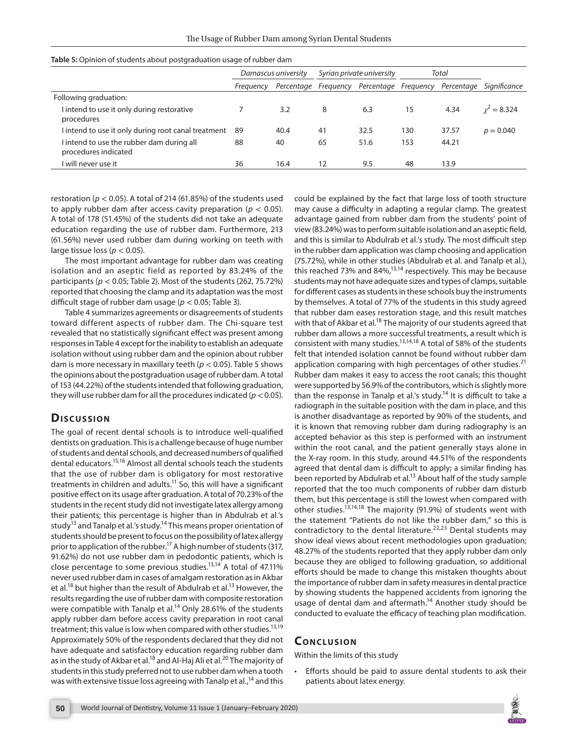|                                                                   | Damascus university |      | Syrian private university |                                           | Total |       |                         |  |
|-------------------------------------------------------------------|---------------------|------|---------------------------|-------------------------------------------|-------|-------|-------------------------|--|
|                                                                   | Frequency           |      |                           | Percentage Frequency Percentage Frequency |       |       | Percentage Significance |  |
| Following graduation:                                             |                     |      |                           |                                           |       |       |                         |  |
| I intend to use it only during restorative<br>procedures          |                     | 3.2  | 8                         | 6.3                                       | 15    | 4.34  | $v^2 = 8.324$           |  |
| l intend to use it only during root canal treatment               | -89                 | 40.4 | 41                        | 32.5                                      | 130   | 37.57 | $p = 0.040$             |  |
| I intend to use the rubber dam during all<br>procedures indicated | 88                  | 40   | 65                        | 51.6                                      | 153   | 44.21 |                         |  |
| I will never use it                                               | 36                  | 16.4 | 12                        | 9.5                                       | 48    | 13.9  |                         |  |

**Table 5:** Opinion of students about postgraduation usage of rubber dam

restoration (*p* < 0.05). A total of 214 (61.85%) of the students used to apply rubber dam after access cavity preparation ( $p < 0.05$ ). A total of 178 (51.45%) of the students did not take an adequate education regarding the use of rubber dam. Furthermore, 213 (61.56%) never used rubber dam during working on teeth with large tissue loss ( $p < 0.05$ ).

The most important advantage for rubber dam was creating isolation and an aseptic field as reported by 83.24% of the participants (*p* < 0.05; Table 2). Most of the students (262, 75.72%) reported that choosing the clamp and its adaptation was the most difficult stage of rubber dam usage (*p* < 0.05; Table 3).

Table 4 summarizes agreements or disagreements of students toward different aspects of rubber dam. The Chi-square test revealed that no statistically significant effect was present among responses in Table 4 except for the inability to establish an adequate isolation without using rubber dam and the opinion about rubber dam is more necessary in maxillary teeth (*p* < 0.05). Table 5 shows the opinions about the postgraduation usage of rubber dam. A total of 153 (44.22%) of the students intended that following graduation, they will use rubber dam for all the procedures indicated (*p*< 0.05).

## **Discussion**

The goal of recent dental schools is to introduce well-qualified dentists on graduation. This is a challenge because of huge number of students and dental schools, and decreased numbers of qualified dental educators.15,16 Almost all dental schools teach the students that the use of rubber dam is obligatory for most restorative treatments in children and adults.<sup>11</sup> So, this will have a significant positive effect on its usage after graduation. A total of 70.23% of the students in the recent study did not investigate latex allergy among their patients; this percentage is higher than in Abdulrab et al.'s study<sup>13</sup> and Tanalp et al.'s study.<sup>14</sup> This means proper orientation of students should be present to focus on the possibility of latex allergy prior to application of the rubber.<sup>17</sup> A high number of students (317, 91.62%) do not use rubber dam in pedodontic patients, which is close percentage to some previous studies.<sup>13,14</sup> A total of 47.11% never used rubber dam in cases of amalgam restoration as in Akbar et al.<sup>18</sup> but higher than the result of Abdulrab et al.<sup>13</sup> However, the results regarding the use of rubber dam with composite restoration were compatible with Tanalp et al.<sup>14</sup> Only 28.61% of the students apply rubber dam before access cavity preparation in root canal treatment; this value is low when compared with other studies.<sup>13,19</sup> Approximately 50% of the respondents declared that they did not have adequate and satisfactory education regarding rubber dam as in the study of Akbar et al.<sup>18</sup> and Al-Haj Ali et al.<sup>20</sup> The majority of students in this study preferred not to use rubber dam when a tooth was with extensive tissue loss agreeing with Tanalp et al.,<sup>14</sup> and this

could be explained by the fact that large loss of tooth structure may cause a difficulty in adapting a regular clamp. The greatest advantage gained from rubber dam from the students' point of view (83.24%) was to perform suitable isolation and an aseptic field, and this is similar to Abdulrab et al.'s study. The most difficult step in the rubber dam application was clamp choosing and application (75.72%), while in other studies (Abdulrab et al. and Tanalp et al.), this reached 73% and 84%,<sup>13,14</sup> respectively. This may be because students may not have adequate sizes and types of clamps, suitable for different cases as students in these schools buy the instruments by themselves. A total of 77% of the students in this study agreed that rubber dam eases restoration stage, and this result matches with that of Akbar et al.<sup>18</sup> The majority of our students agreed that rubber dam allows a more successful treatments, a result which is consistent with many studies.<sup>13,14,18</sup> A total of 58% of the students felt that intended isolation cannot be found without rubber dam application comparing with high percentages of other studies. $21$ Rubber dam makes it easy to access the root canals; this thought were supported by 56.9% of the contributors, which is slightly more than the response in Tanalp et al.'s study.<sup>14</sup> It is difficult to take a radiograph in the suitable position with the dam in place, and this is another disadvantage as reported by 90% of the students, and it is known that removing rubber dam during radiography is an accepted behavior as this step is performed with an instrument within the root canal, and the patient generally stays alone in the X-ray room. In this study, around 44.51% of the respondents agreed that dental dam is difficult to apply; a similar finding has been reported by Abdulrab et al.<sup>13</sup> About half of the study sample reported that the too much components of rubber dam disturb them, but this percentage is still the lowest when compared with other studies.13,14,18 The majority (91.9%) of students went with the statement "Patients do not like the rubber dam," so this is contradictory to the dental literature.<sup>22,23</sup> Dental students may show ideal views about recent methodologies upon graduation; 48.27% of the students reported that they apply rubber dam only because they are obliged to following graduation, so additional efforts should be made to change this mistaken thoughts about the importance of rubber dam in safety measures in dental practice by showing students the happened accidents from ignoring the usage of dental dam and aftermath.<sup>14</sup> Another study should be conducted to evaluate the efficacy of teaching plan modification.

#### **CONCLUSION**

Within the limits of this study

• Efforts should be paid to assure dental students to ask their patients about latex energy.